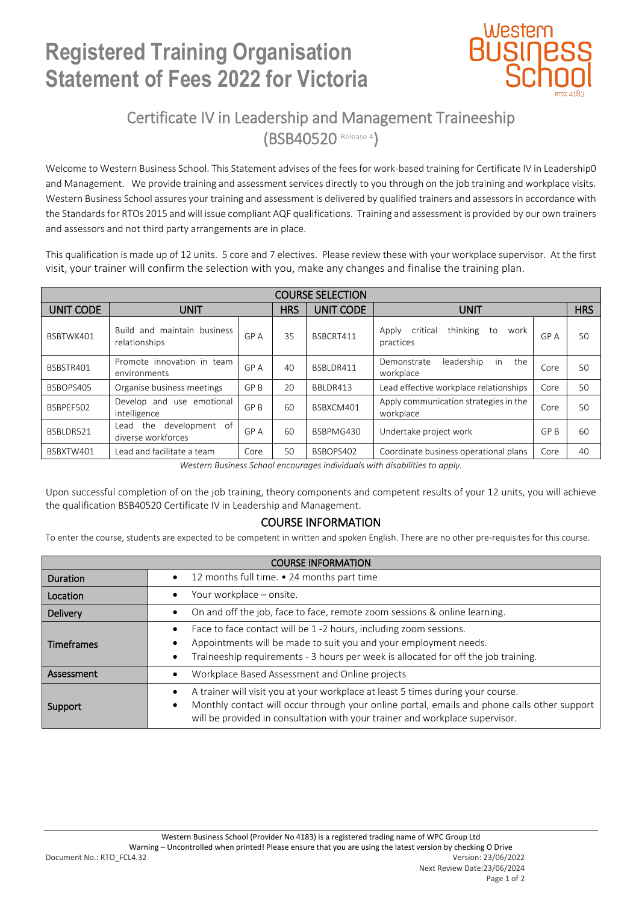## **Registered Training Organisation Statement of Fees 2022 for Victoria**



### Certificate IV in Leadership and Management Traineeship (BSB40520 Release 4)

Welcome to Western Business School. This Statement advises of the fees for work-based training for Certificate IV in Leadership0 and Management. We provide training and assessment services directly to you through on the job training and workplace visits. Western Business School assures your training and assessment is delivered by qualified trainers and assessors in accordance with the Standards for RTOs 2015 and will issue compliant AQF qualifications. Training and assessment is provided by our own trainers and assessors and not third party arrangements are in place.

This qualification is made up of 12 units. 5 core and 7 electives. Please review these with your workplace supervisor. At the first visit, your trainer will confirm the selection with you, make any changes and finalise the training plan.

| <b>COURSE SELECTION</b> |                                                     |      |            |                  |                                                          |      |            |  |  |  |  |
|-------------------------|-----------------------------------------------------|------|------------|------------------|----------------------------------------------------------|------|------------|--|--|--|--|
| UNIT CODE               | <b>UNIT</b>                                         |      | <b>HRS</b> | <b>UNIT CODE</b> | <b>UNIT</b>                                              |      | <b>HRS</b> |  |  |  |  |
| BSBTWK401               | and maintain business<br>Build<br>relationships     | GP A | 35         | BSBCRT411        | thinking<br>critical<br>to<br>Apply<br>work<br>practices | GP A | 50         |  |  |  |  |
| BSBSTR401               | Promote innovation in team<br>environments          | GP A | 40         | BSBLDR411        | in<br>the<br>leadership<br>Demonstrate<br>workplace      | Core | 50         |  |  |  |  |
| BSBOPS405               | Organise business meetings                          | GP B | 20         | BBLDR413         | Lead effective workplace relationships                   | Core | 50         |  |  |  |  |
| BSBPEF502               | Develop and use emotional<br>intelligence           | GP B | 60         | BSBXCM401        | Apply communication strategies in the<br>workplace       | Core | 50         |  |  |  |  |
| BSBLDR521               | development of<br>the<br>Lead<br>diverse workforces | GP A | 60         | BSBPMG430        | Undertake project work                                   | GP B | 60         |  |  |  |  |
| BSBXTW401               | Lead and facilitate a team                          | Core | 50         | BSBOPS402        | Coordinate business operational plans                    | Core | 40         |  |  |  |  |

*Western Business School encourages individuals with disabilities to apply.*

Upon successful completion of on the job training, theory components and competent results of your 12 units, you will achieve the qualification BSB40520 Certificate IV in Leadership and Management.

### COURSE INFORMATION

To enter the course, students are expected to be competent in written and spoken English. There are no other pre-requisites for this course.

| <b>COURSE INFORMATION</b> |                                                                                                                                                                                                                                                                |  |  |  |  |
|---------------------------|----------------------------------------------------------------------------------------------------------------------------------------------------------------------------------------------------------------------------------------------------------------|--|--|--|--|
| Duration                  | 12 months full time. • 24 months part time<br>$\bullet$                                                                                                                                                                                                        |  |  |  |  |
| Location                  | Your workplace - onsite.                                                                                                                                                                                                                                       |  |  |  |  |
| <b>Delivery</b>           | On and off the job, face to face, remote zoom sessions & online learning.<br>$\bullet$                                                                                                                                                                         |  |  |  |  |
| <b>Timeframes</b>         | Face to face contact will be 1 -2 hours, including zoom sessions.<br>Appointments will be made to suit you and your employment needs.<br>Traineeship requirements - 3 hours per week is allocated for off the job training.                                    |  |  |  |  |
| Assessment                | Workplace Based Assessment and Online projects                                                                                                                                                                                                                 |  |  |  |  |
| Support                   | A trainer will visit you at your workplace at least 5 times during your course.<br>Monthly contact will occur through your online portal, emails and phone calls other support<br>will be provided in consultation with your trainer and workplace supervisor. |  |  |  |  |